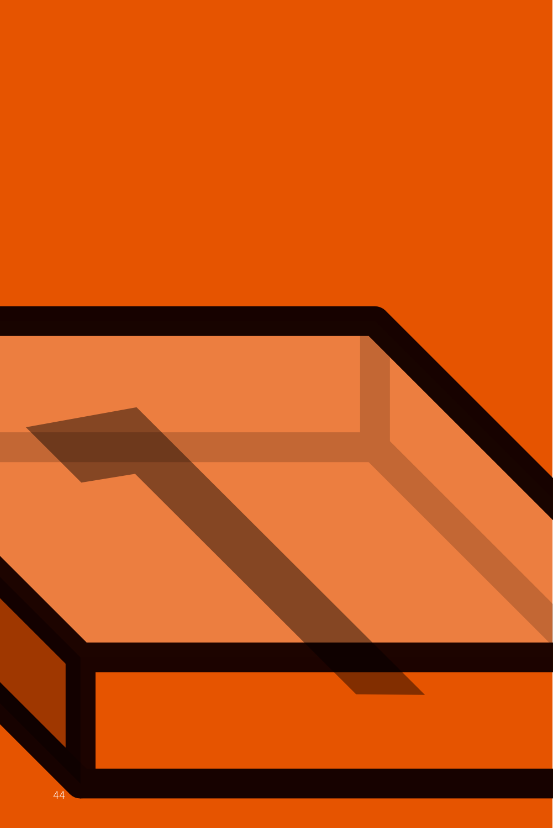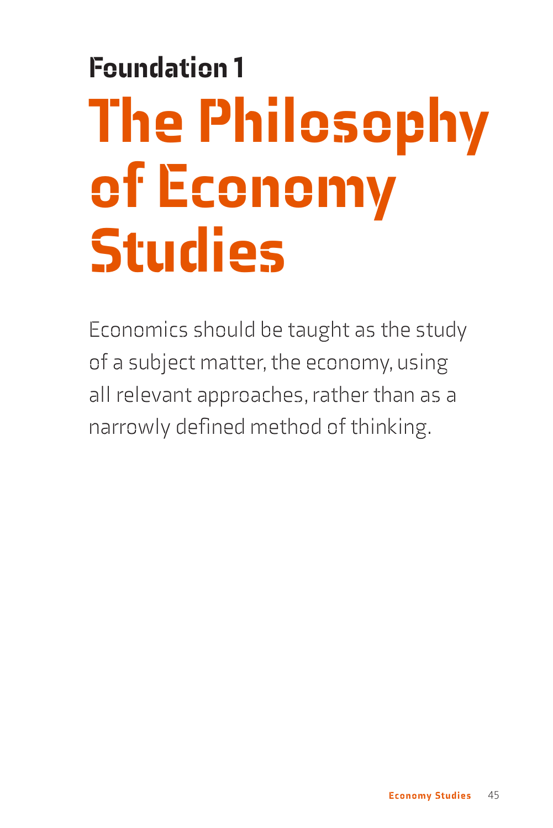# Foundation 1 The Philosophy of Economy Studies

Economics should be taught as the study of a subject matter, the economy, using all relevant approaches, rather than as a narrowly defined method of thinking.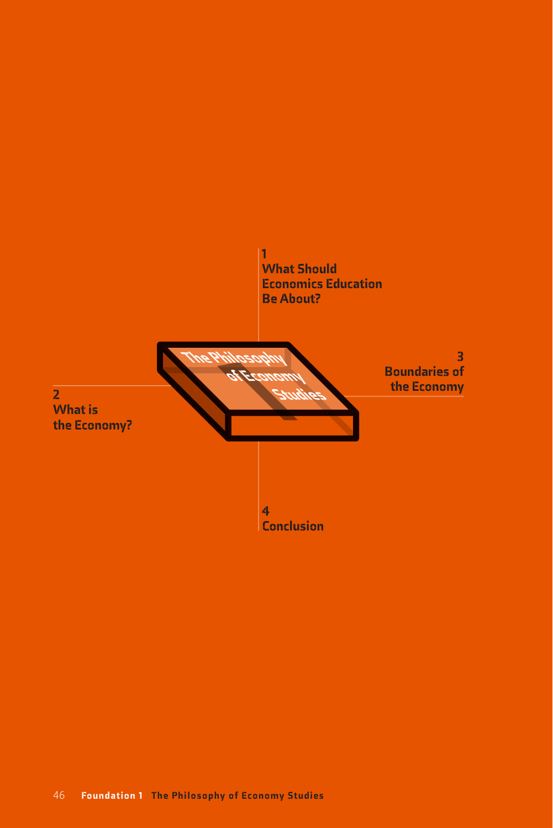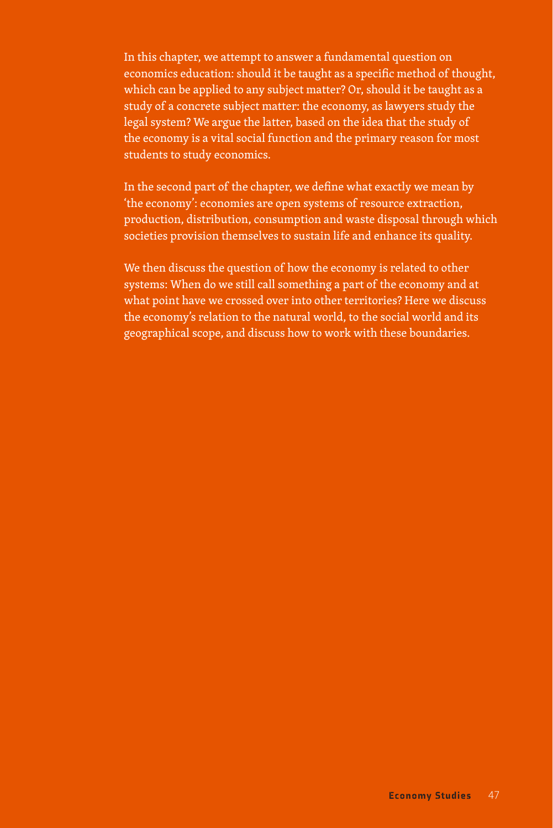In this chapter, we attempt to answer a fundamental question on economics education: should it be taught as a specific method of thought, which can be applied to any subject matter? Or, should it be taught as a study of a concrete subject matter: the economy, as lawyers study the legal system? We argue the latter, based on the idea that the study of the economy is a vital social function and the primary reason for most students to study economics.

In the second part of the chapter, we define what exactly we mean by 'the economy': economies are open systems of resource extraction, production, distribution, consumption and waste disposal through which societies provision themselves to sustain life and enhance its quality.

We then discuss the question of how the economy is related to other systems: When do we still call something a part of the economy and at what point have we crossed over into other territories? Here we discuss the economy's relation to the natural world, to the social world and its geographical scope, and discuss how to work with these boundaries.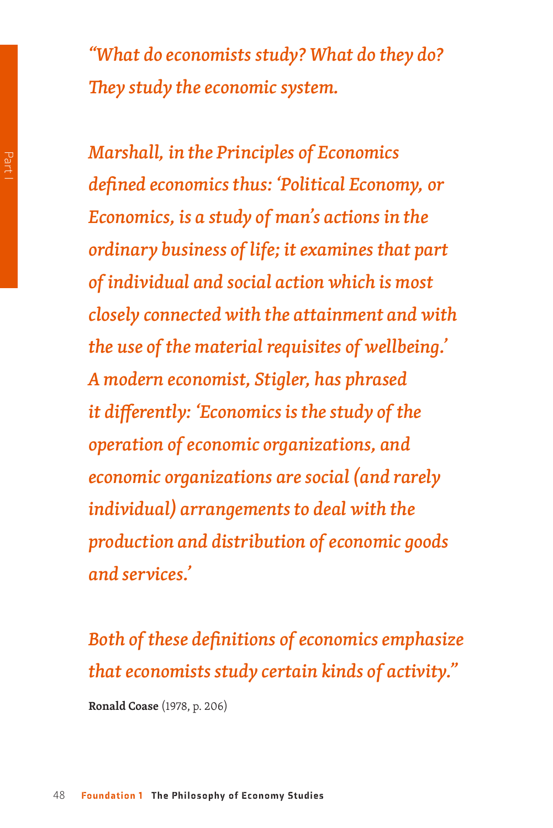*"What do economists study? What do they do? They study the economic system.*

*Marshall, in the Principles of Economics defined economics thus: 'Political Economy, or Economics, is a study of man's actions in the ordinary business of life; it examines that part of individual and social action which is most closely connected with the attainment and with the use of the material requisites of wellbeing.' A modern economist, Stigler, has phrased it differently: 'Economics is the study of the operation of economic organizations, and economic organizations are social (and rarely individual) arrangements to deal with the production and distribution of economic goods and services.'*

*Both of these definitions of economics emphasize that economists study certain kinds of activity."*

**Ronald Coase** (1978, p. 206)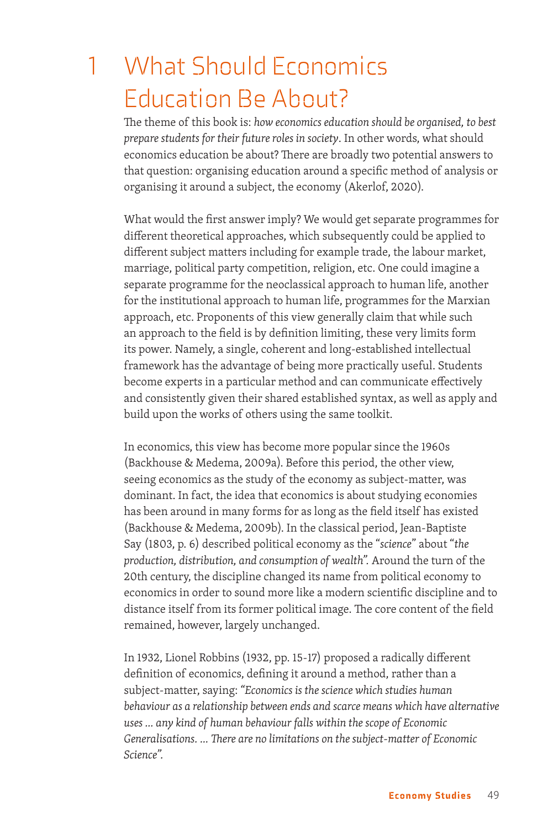## 1 What Should Economics Education Be About?

The theme of this book is: *how economics education should be organised, to best prepare students for their future roles in society*. In other words, what should economics education be about? There are broadly two potential answers to that question: organising education around a specific method of analysis or organising it around a subject, the economy (Akerlof, 2020).

What would the first answer imply? We would get separate programmes for different theoretical approaches, which subsequently could be applied to different subject matters including for example trade, the labour market, marriage, political party competition, religion, etc. One could imagine a separate programme for the neoclassical approach to human life, another for the institutional approach to human life, programmes for the Marxian approach, etc. Proponents of this view generally claim that while such an approach to the field is by definition limiting, these very limits form its power. Namely, a single, coherent and long-established intellectual framework has the advantage of being more practically useful. Students become experts in a particular method and can communicate effectively and consistently given their shared established syntax, as well as apply and build upon the works of others using the same toolkit.

In economics, this view has become more popular since the 1960s (Backhouse & Medema, 2009a). Before this period, the other view, seeing economics as the study of the economy as subject-matter, was dominant. In fact, the idea that economics is about studying economies has been around in many forms for as long as the field itself has existed (Backhouse & Medema, 2009b). In the classical period, Jean-Baptiste Say (1803, p. 6) described political economy as the "*science*" about "*the production, distribution, and consumption of wealth".* Around the turn of the 20th century, the discipline changed its name from political economy to economics in order to sound more like a modern scientific discipline and to distance itself from its former political image. The core content of the field remained, however, largely unchanged.

In 1932, Lionel Robbins (1932, pp. 15-17) proposed a radically different definition of economics, defining it around a method, rather than a subject-matter, saying: *"Economics is the science which studies human behaviour as a relationship between ends and scarce means which have alternative uses … any kind of human behaviour falls within the scope of Economic Generalisations. … There are no limitations on the subject-matter of Economic Science".*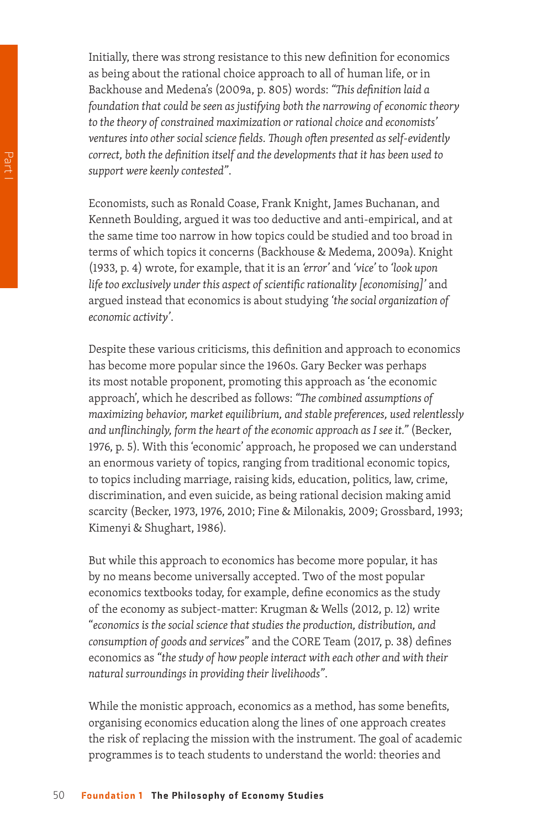Initially, there was strong resistance to this new definition for economics as being about the rational choice approach to all of human life, or in Backhouse and Medena's (2009a, p. 805) words: *"This definition laid a foundation that could be seen as justifying both the narrowing of economic theory to the theory of constrained maximization or rational choice and economists' ventures into other social science fields. Though often presented as self-evidently correct, both the definition itself and the developments that it has been used to support were keenly contested"*.

Economists, such as Ronald Coase, Frank Knight, James Buchanan, and Kenneth Boulding, argued it was too deductive and anti-empirical, and at the same time too narrow in how topics could be studied and too broad in terms of which topics it concerns (Backhouse & Medema, 2009a). Knight (1933, p. 4) wrote, for example, that it is an *'error'* and *'vice'* to *'look upon life too exclusively under this aspect of scientific rationality [economising]'* and argued instead that economics is about studying *'the social organization of economic activity'*.

Despite these various criticisms, this definition and approach to economics has become more popular since the 1960s. Gary Becker was perhaps its most notable proponent, promoting this approach as 'the economic approach', which he described as follows: *"The combined assumptions of maximizing behavior, market equilibrium, and stable preferences, used relentlessly and unflinchingly, form the heart of the economic approach as I see it."* (Becker, 1976, p. 5). With this 'economic' approach, he proposed we can understand an enormous variety of topics, ranging from traditional economic topics, to topics including marriage, raising kids, education, politics, law, crime, discrimination, and even suicide, as being rational decision making amid scarcity (Becker, 1973, 1976, 2010; Fine & Milonakis, 2009; Grossbard, 1993; Kimenyi & Shughart, 1986).

But while this approach to economics has become more popular, it has by no means become universally accepted. Two of the most popular economics textbooks today, for example, define economics as the study of the economy as subject-matter: Krugman & Wells (2012, p. 12) write "*economics is the social science that studies the production, distribution, and consumption of goods and services*" and the CORE Team (2017, p. 38) defines economics as *"the study of how people interact with each other and with their natural surroundings in providing their livelihoods"*.

While the monistic approach, economics as a method, has some benefits, organising economics education along the lines of one approach creates the risk of replacing the mission with the instrument. The goal of academic programmes is to teach students to understand the world: theories and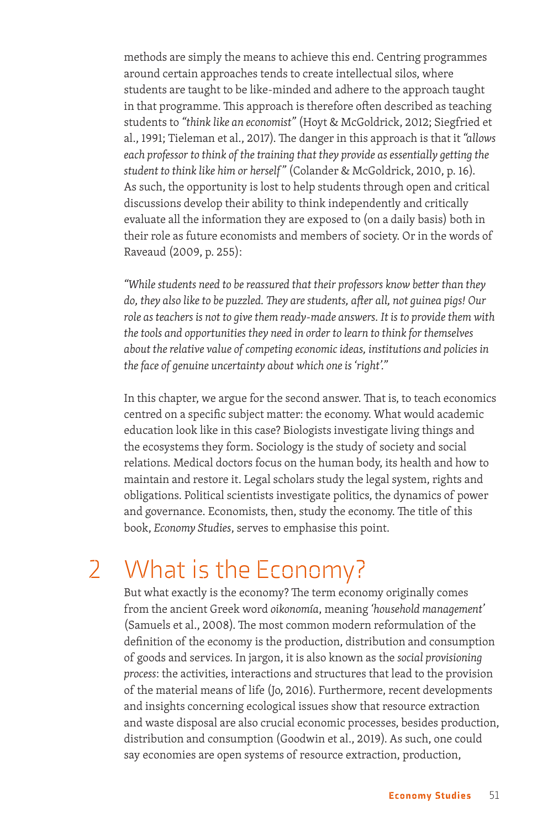methods are simply the means to achieve this end. Centring programmes around certain approaches tends to create intellectual silos, where students are taught to be like-minded and adhere to the approach taught in that programme. This approach is therefore often described as teaching students to *"think like an economist"* (Hoyt & McGoldrick, 2012; Siegfried et al., 1991; Tieleman et al., 2017). The danger in this approach is that it *"allows each professor to think of the training that they provide as essentially getting the student to think like him or herself "* (Colander & McGoldrick, 2010, p. 16). As such, the opportunity is lost to help students through open and critical discussions develop their ability to think independently and critically evaluate all the information they are exposed to (on a daily basis) both in their role as future economists and members of society. Or in the words of Raveaud (2009, p. 255):

*"While students need to be reassured that their professors know better than they do, they also like to be puzzled. They are students, after all, not guinea pigs! Our role as teachers is not to give them ready-made answers. It is to provide them with the tools and opportunities they need in order to learn to think for themselves about the relative value of competing economic ideas, institutions and policies in the face of genuine uncertainty about which one is 'right'."* 

In this chapter, we argue for the second answer. That is, to teach economics centred on a specific subject matter: the economy. What would academic education look like in this case? Biologists investigate living things and the ecosystems they form. Sociology is the study of society and social relations. Medical doctors focus on the human body, its health and how to maintain and restore it. Legal scholars study the legal system, rights and obligations. Political scientists investigate politics, the dynamics of power and governance. Economists, then, study the economy. The title of this book, *Economy Studies*, serves to emphasise this point.

### 2 What is the Economy?

But what exactly is the economy? The term economy originally comes from the ancient Greek word *oikonomía*, meaning *'household management'* (Samuels et al., 2008). The most common modern reformulation of the definition of the economy is the production, distribution and consumption of goods and services. In jargon, it is also known as the *social provisioning process*: the activities, interactions and structures that lead to the provision of the material means of life (Jo, 2016). Furthermore, recent developments and insights concerning ecological issues show that resource extraction and waste disposal are also crucial economic processes, besides production, distribution and consumption (Goodwin et al., 2019). As such, one could say economies are open systems of resource extraction, production,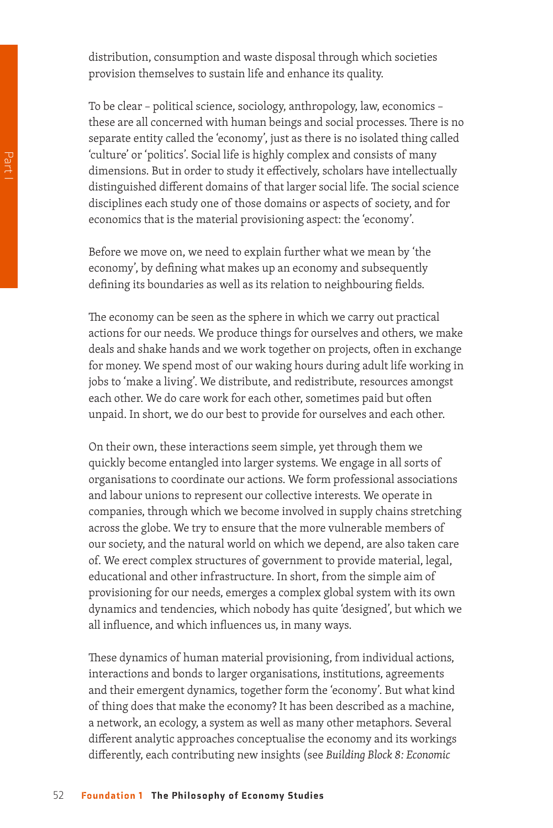distribution, consumption and waste disposal through which societies provision themselves to sustain life and enhance its quality.

To be clear – political science, sociology, anthropology, law, economics – these are all concerned with human beings and social processes. There is no separate entity called the 'economy', just as there is no isolated thing called 'culture' or 'politics'. Social life is highly complex and consists of many dimensions. But in order to study it effectively, scholars have intellectually distinguished different domains of that larger social life. The social science disciplines each study one of those domains or aspects of society, and for economics that is the material provisioning aspect: the 'economy'.

Before we move on, we need to explain further what we mean by 'the economy', by defining what makes up an economy and subsequently defining its boundaries as well as its relation to neighbouring fields.

The economy can be seen as the sphere in which we carry out practical actions for our needs. We produce things for ourselves and others, we make deals and shake hands and we work together on projects, often in exchange for money. We spend most of our waking hours during adult life working in jobs to 'make a living'. We distribute, and redistribute, resources amongst each other. We do care work for each other, sometimes paid but often unpaid. In short, we do our best to provide for ourselves and each other.

On their own, these interactions seem simple, yet through them we quickly become entangled into larger systems. We engage in all sorts of organisations to coordinate our actions. We form professional associations and labour unions to represent our collective interests. We operate in companies, through which we become involved in supply chains stretching across the globe. We try to ensure that the more vulnerable members of our society, and the natural world on which we depend, are also taken care of. We erect complex structures of government to provide material, legal, educational and other infrastructure. In short, from the simple aim of provisioning for our needs, emerges a complex global system with its own dynamics and tendencies, which nobody has quite 'designed', but which we all influence, and which influences us, in many ways.

These dynamics of human material provisioning, from individual actions, interactions and bonds to larger organisations, institutions, agreements and their emergent dynamics, together form the 'economy'. But what kind of thing does that make the economy? It has been described as a machine, a network, an ecology, a system as well as many other metaphors. Several different analytic approaches conceptualise the economy and its workings differently, each contributing new insights (see *Building Block 8: Economic*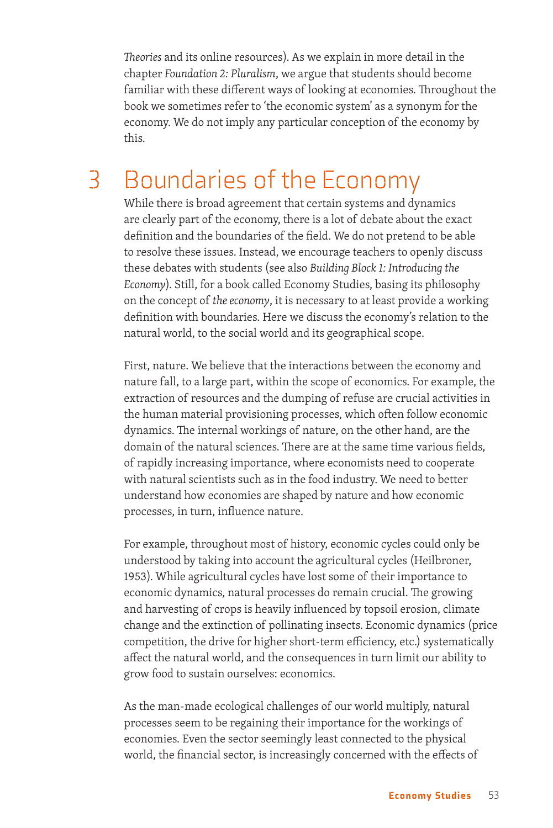*Theories* and its online resources). As we explain in more detail in the chapter *Foundation 2: Pluralism*, we argue that students should become familiar with these different ways of looking at economies. Throughout the book we sometimes refer to 'the economic system' as a synonym for the economy. We do not imply any particular conception of the economy by this.

#### 3 Boundaries of the Economy

While there is broad agreement that certain systems and dynamics are clearly part of the economy, there is a lot of debate about the exact definition and the boundaries of the field. We do not pretend to be able to resolve these issues. Instead, we encourage teachers to openly discuss these debates with students (see also *Building Block 1: Introducing the Economy*). Still, for a book called Economy Studies, basing its philosophy on the concept of *the economy*, it is necessary to at least provide a working definition with boundaries. Here we discuss the economy's relation to the natural world, to the social world and its geographical scope.

First, nature. We believe that the interactions between the economy and nature fall, to a large part, within the scope of economics. For example, the extraction of resources and the dumping of refuse are crucial activities in the human material provisioning processes, which often follow economic dynamics. The internal workings of nature, on the other hand, are the domain of the natural sciences. There are at the same time various fields, of rapidly increasing importance, where economists need to cooperate with natural scientists such as in the food industry. We need to better understand how economies are shaped by nature and how economic processes, in turn, influence nature.

For example, throughout most of history, economic cycles could only be understood by taking into account the agricultural cycles (Heilbroner, 1953). While agricultural cycles have lost some of their importance to economic dynamics, natural processes do remain crucial. The growing and harvesting of crops is heavily influenced by topsoil erosion, climate change and the extinction of pollinating insects. Economic dynamics (price competition, the drive for higher short-term efficiency, etc.) systematically affect the natural world, and the consequences in turn limit our ability to grow food to sustain ourselves: economics.

As the man-made ecological challenges of our world multiply, natural processes seem to be regaining their importance for the workings of economies. Even the sector seemingly least connected to the physical world, the financial sector, is increasingly concerned with the effects of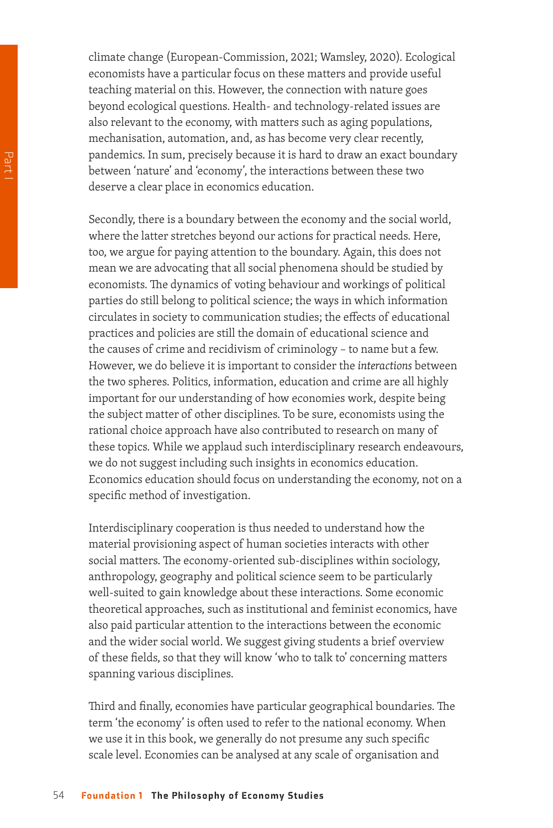climate change (European-Commission, 2021; Wamsley, 2020). Ecological economists have a particular focus on these matters and provide useful teaching material on this. However, the connection with nature goes beyond ecological questions. Health- and technology-related issues are also relevant to the economy, with matters such as aging populations, mechanisation, automation, and, as has become very clear recently, pandemics. In sum, precisely because it is hard to draw an exact boundary between 'nature' and 'economy', the interactions between these two deserve a clear place in economics education.

Secondly, there is a boundary between the economy and the social world, where the latter stretches beyond our actions for practical needs. Here, too, we argue for paying attention to the boundary. Again, this does not mean we are advocating that all social phenomena should be studied by economists. The dynamics of voting behaviour and workings of political parties do still belong to political science; the ways in which information circulates in society to communication studies; the effects of educational practices and policies are still the domain of educational science and the causes of crime and recidivism of criminology – to name but a few. However, we do believe it is important to consider the *interactions* between the two spheres. Politics, information, education and crime are all highly important for our understanding of how economies work, despite being the subject matter of other disciplines. To be sure, economists using the rational choice approach have also contributed to research on many of these topics. While we applaud such interdisciplinary research endeavours, we do not suggest including such insights in economics education. Economics education should focus on understanding the economy, not on a specific method of investigation.

Interdisciplinary cooperation is thus needed to understand how the material provisioning aspect of human societies interacts with other social matters. The economy-oriented sub-disciplines within sociology, anthropology, geography and political science seem to be particularly well-suited to gain knowledge about these interactions. Some economic theoretical approaches, such as institutional and feminist economics, have also paid particular attention to the interactions between the economic and the wider social world. We suggest giving students a brief overview of these fields, so that they will know 'who to talk to' concerning matters spanning various disciplines.

Third and finally, economies have particular geographical boundaries. The term 'the economy' is often used to refer to the national economy. When we use it in this book, we generally do not presume any such specific scale level. Economies can be analysed at any scale of organisation and